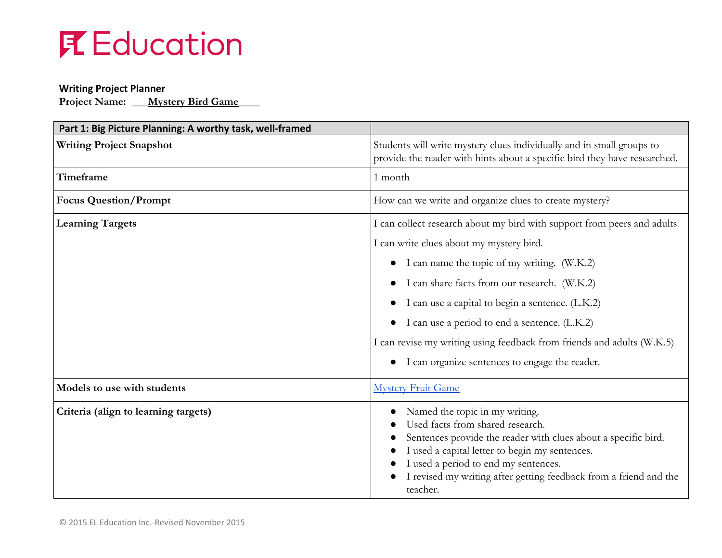#### **Writing Project Planner**

**Project Name: \_\_\_Mystery Bird Game\_\_\_\_**

| Part 1: Big Picture Planning: A worthy task, well-framed |                                                                                                                                                                                                                                                                                                                 |
|----------------------------------------------------------|-----------------------------------------------------------------------------------------------------------------------------------------------------------------------------------------------------------------------------------------------------------------------------------------------------------------|
| <b>Writing Project Snapshot</b>                          | Students will write mystery clues individually and in small groups to<br>provide the reader with hints about a specific bird they have researched.                                                                                                                                                              |
| Timeframe                                                | 1 month                                                                                                                                                                                                                                                                                                         |
| <b>Focus Question/Prompt</b>                             | How can we write and organize clues to create mystery?                                                                                                                                                                                                                                                          |
| <b>Learning Targets</b>                                  | I can collect research about my bird with support from peers and adults                                                                                                                                                                                                                                         |
|                                                          | I can write clues about my mystery bird.                                                                                                                                                                                                                                                                        |
|                                                          | I can name the topic of my writing. (W.K.2)<br>$\bullet$                                                                                                                                                                                                                                                        |
|                                                          | I can share facts from our research. (W.K.2)                                                                                                                                                                                                                                                                    |
|                                                          | I can use a capital to begin a sentence. (L.K.2)                                                                                                                                                                                                                                                                |
|                                                          | I can use a period to end a sentence. (L.K.2)                                                                                                                                                                                                                                                                   |
|                                                          | I can revise my writing using feedback from friends and adults (W.K.5)                                                                                                                                                                                                                                          |
|                                                          | I can organize sentences to engage the reader.                                                                                                                                                                                                                                                                  |
| Models to use with students                              | <b>Mystery Fruit Game</b>                                                                                                                                                                                                                                                                                       |
| Criteria (align to learning targets)                     | Named the topic in my writing.<br>Used facts from shared research.<br>Sentences provide the reader with clues about a specific bird.<br>I used a capital letter to begin my sentences.<br>I used a period to end my sentences.<br>I revised my writing after getting feedback from a friend and the<br>teacher. |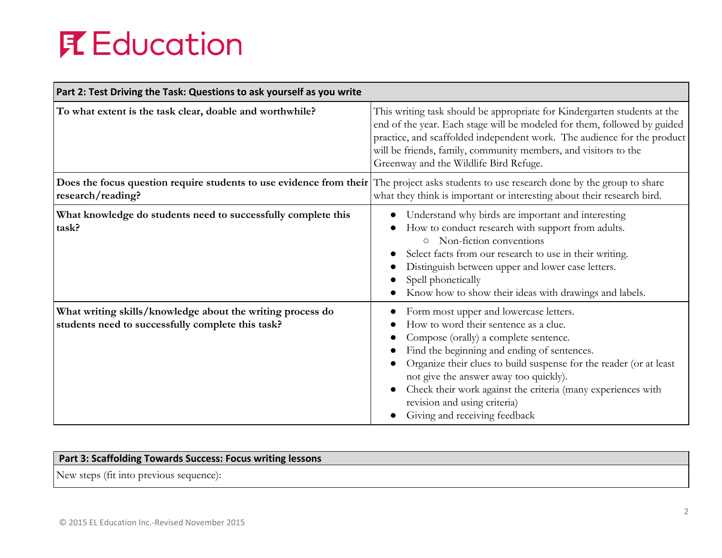| Part 2: Test Driving the Task: Questions to ask yourself as you write                                           |                                                                                                                                                                                                                                                                                                                                                                                                                          |
|-----------------------------------------------------------------------------------------------------------------|--------------------------------------------------------------------------------------------------------------------------------------------------------------------------------------------------------------------------------------------------------------------------------------------------------------------------------------------------------------------------------------------------------------------------|
| To what extent is the task clear, doable and worthwhile?                                                        | This writing task should be appropriate for Kindergarten students at the<br>end of the year. Each stage will be modeled for them, followed by guided<br>practice, and scaffolded independent work. The audience for the product<br>will be friends, family, community members, and visitors to the<br>Greenway and the Wildlife Bird Refuge.                                                                             |
| Does the focus question require students to use evidence from their<br>research/reading?                        | The project asks students to use research done by the group to share<br>what they think is important or interesting about their research bird.                                                                                                                                                                                                                                                                           |
| What knowledge do students need to successfully complete this<br>task?                                          | Understand why birds are important and interesting<br>How to conduct research with support from adults.<br>Non-fiction conventions<br>$\circ$<br>Select facts from our research to use in their writing.<br>Distinguish between upper and lower case letters.<br>Spell phonetically<br>Know how to show their ideas with drawings and labels.                                                                            |
| What writing skills/knowledge about the writing process do<br>students need to successfully complete this task? | Form most upper and lowercase letters.<br>How to word their sentence as a clue.<br>Compose (orally) a complete sentence.<br>Find the beginning and ending of sentences.<br>Organize their clues to build suspense for the reader (or at least<br>not give the answer away too quickly).<br>Check their work against the criteria (many experiences with<br>revision and using criteria)<br>Giving and receiving feedback |

### **Part 3: Scaffolding Towards Success: Focus writing lessons**

New steps (fit into previous sequence):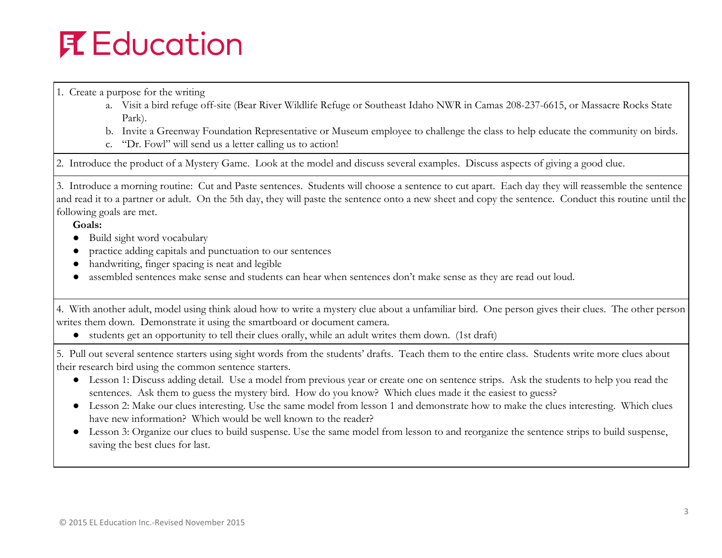1. Create a purpose for the writing

- a. Visit a bird refuge off-site (Bear River Wildlife Refuge or Southeast Idaho NWR in Camas 208-237-6615, or Massacre Rocks State Park).
- b. Invite a Greenway Foundation Representative or Museum employee to challenge the class to help educate the community on birds.
- c. "Dr. Fowl" will send us a letter calling us to action!

2. Introduce the product of a Mystery Game. Look at the model and discuss several examples. Discuss aspects of giving a good clue.

3. Introduce a morning routine: Cut and Paste sentences. Students will choose a sentence to cut apart. Each day they will reassemble the sentence and read it to a partner or adult. On the 5th day, they will paste the sentence onto a new sheet and copy the sentence. Conduct this routine until the following goals are met.

 **Goals:**

- Build sight word vocabulary
- practice adding capitals and punctuation to our sentences
- handwriting, finger spacing is neat and legible
- assembled sentences make sense and students can hear when sentences don't make sense as they are read out loud.

4. With another adult, model using think aloud how to write a mystery clue about a unfamiliar bird. One person gives their clues. The other person writes them down. Demonstrate it using the smartboard or document camera.

● students get an opportunity to tell their clues orally, while an adult writes them down. (1st draft)

5. Pull out several sentence starters using sight words from the students' drafts. Teach them to the entire class. Students write more clues about their research bird using the common sentence starters.

- Lesson 1: Discuss adding detail. Use a model from previous year or create one on sentence strips. Ask the students to help you read the sentences. Ask them to guess the mystery bird. How do you know? Which clues made it the easiest to guess?
- Lesson 2: Make our clues interesting. Use the same model from lesson 1 and demonstrate how to make the clues interesting. Which clues have new information? Which would be well known to the reader?
- Lesson 3: Organize our clues to build suspense. Use the same model from lesson to and reorganize the sentence strips to build suspense, saving the best clues for last.